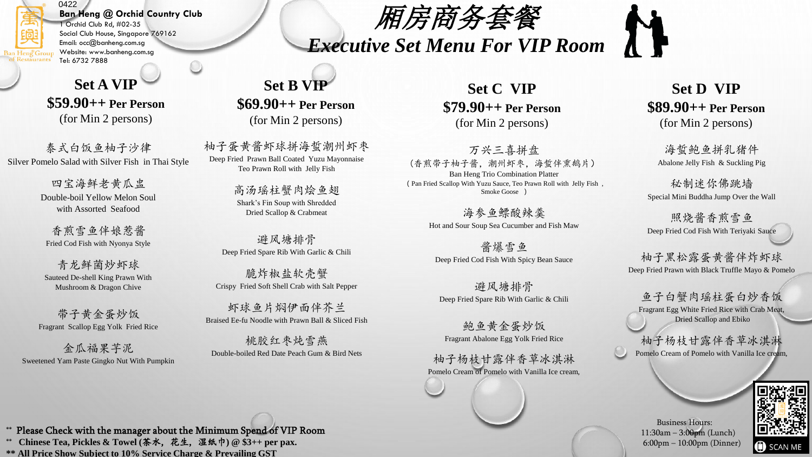### 0422 **Ban Heng @ Orchid Country Club**

1 Orchid Club Rd, #02-35 Social Club House, Singapore 769162 Email: occ@banheng.com.sg Website: www.banheng.com.sg **Restaurants** Tel: 6732 7888

## **Set A VIP \$59.90++ Per Person**  (for Min 2 persons)

泰式白饭鱼柚子沙律 Silver Pomelo Salad with Silver Fish in Thai Style

> 四宝海鲜老黄瓜盅 Double-boil Yellow Melon Soul with Assorted Seafood

香煎雪鱼伴娘惹酱 Fried Cod Fish with Nyonya Style

青龙鲜菌炒虾球 Sauteed De-shell King Prawn With Mushroom & Dragon Chive

带子黄金蛋炒饭 Fragrant Scallop Egg Yolk Fried Rice

金瓜福果芋泥 Sweetened Yam Paste Gingko Nut With Pumpkin

# **Set B VIP \$69.90++ Per Person**  (for Min 2 persons)

柚子蛋黄酱虾球拼海蜇潮州虾枣 Deep Fried Prawn Ball Coated Yuzu Mayonnaise Teo Prawn Roll with Jelly Fish

> 高汤瑶柱蟹肉烩鱼翅 Shark's Fin Soup with Shredded Dried Scallop & Crabmeat

避风塘排骨 Deep Fried Spare Rib With Garlic & Chili

脆炸椒盐软壳蟹 Crispy Fried Soft Shell Crab with Salt Pepper

虾球鱼片焖伊面伴芥兰 Braised Ee-fu Noodle with Prawn Ball & Sliced Fish

桃胶红枣炖雪燕 Double-boiled Red Date Peach Gum & Bird Nets

**Set C VIP \$79.90++ Per Person**  (for Min 2 persons)

厢房商务套餐

*Executive Set Menu For VIP Room* 

万兴三喜拼盘 (香煎带子柚子酱,潮州虾枣,海蜇伴熏鹅片) Ban Heng Trio Combination Platter (Pan Fried Scallop With Yuzu Sauce, Teo Prawn Roll with Jelly Fish , Smoke Goose )

> 海参鱼鳔酸辣羹 Hot and Sour Soup Sea Cucumber and Fish Maw

酱爆雪鱼 Deep Fried Cod Fish With Spicy Bean Sauce

避风塘排骨 Deep Fried Spare Rib With Garlic & Chili

鲍鱼黄金蛋炒饭 Fragrant Abalone Egg Yolk Fried Rice

柚子杨枝甘露伴香草冰淇淋 Pomelo Cream of Pomelo with Vanilla Ice cream,

## **Set D VIP \$89.90++ Per Person**  (for Min 2 persons)

海蜇鲍鱼拼乳猪件 Abalone Jelly Fish & Suckling Pig

秘制迷你佛跳墙 Special Mini Buddha Jump Over the Wall

照烧酱香煎雪鱼 Deep Fried Cod Fish With Teriyaki Sauce

柚子黑松露蛋黄酱伴炸虾球 Deep Fried Prawn with Black Truffle Mayo & Pomelo

鱼子白蟹肉瑶柱蛋白炒香饭 Fragrant Egg White Fried Rice with Crab Meat, Dried Scallop and Ebiko

柚子杨枝甘露伴香草冰淇淋 Pomelo Cream of Pomelo with Vanilla Ice cream,



Business Hours: 11:30am – 3:00pm (Lunch) 6:00pm – 10:00pm (Dinner)

\*\* Please Check with the manager about the Minimum Spend of VIP Room \*\* **Chinese Tea, Pickles & Towel (**茶水, 花生, 湿纸巾**) @ \$3++ per pax. \*\* All Price Show Subject to 10% Service Charge & Prevailing GST**